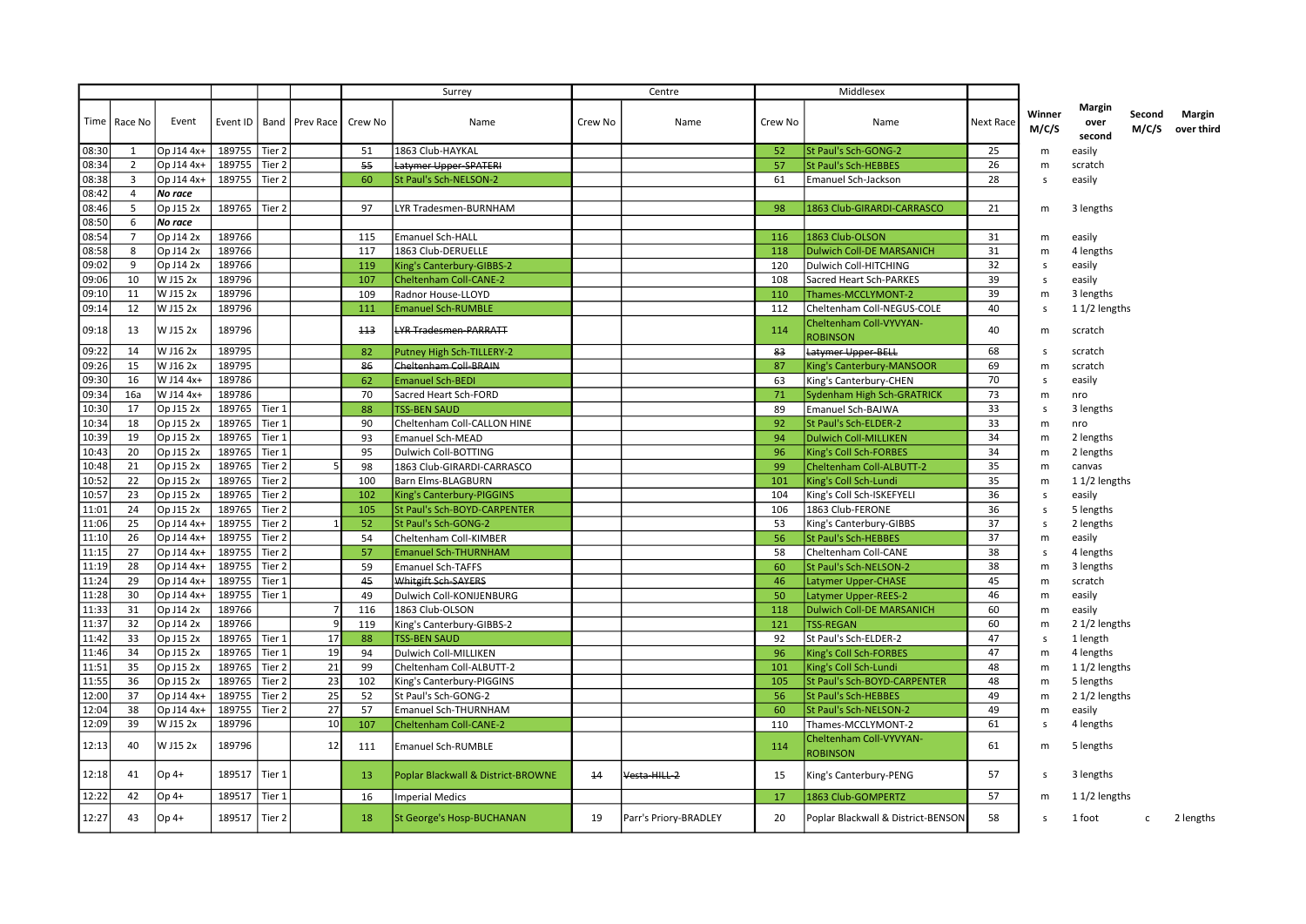|       |                         |            |               |                   |                            |     | Surrey                             |         | Centre                |          | Middlesex                                  |                  |                 |                                 |                 |                             |
|-------|-------------------------|------------|---------------|-------------------|----------------------------|-----|------------------------------------|---------|-----------------------|----------|--------------------------------------------|------------------|-----------------|---------------------------------|-----------------|-----------------------------|
|       | Time   Race No          | Event      | Event ID      |                   | Band   Prev Race   Crew No |     | Name                               | Crew No | Name                  | Crew No  | Name                                       | <b>Next Race</b> | Winner<br>M/C/S | <b>Margin</b><br>over<br>second | Second<br>M/C/S | <b>Margin</b><br>over third |
| 08:30 | 1                       | Op J14 4x+ | 189755 Tier 2 |                   |                            | 51  | 1863 Club-HAYKAL                   |         |                       | 52       | St Paul's Sch-GONG-2                       | 25               | m               | easily                          |                 |                             |
| 08:34 | 2                       | Op J14 4x+ | 189755        | Tier 2            |                            | 55  | Latymer Upper SPATERI              |         |                       | 57       | St Paul's Sch-HEBBES                       | 26               | m               | scratch                         |                 |                             |
| 08:38 | $\overline{\mathbf{3}}$ | Op J14 4x+ | 189755        | Tier 2            |                            | 60  | St Paul's Sch-NELSON-2             |         |                       | 61       | <b>Emanuel Sch-Jackson</b>                 | 28               | s               | easily                          |                 |                             |
| 08:42 | $\overline{4}$          | No race    |               |                   |                            |     |                                    |         |                       |          |                                            |                  |                 |                                 |                 |                             |
| 08:46 | 5                       | Op J15 2x  | 189765        | Tier <sub>2</sub> |                            | 97  | LYR Tradesmen-BURNHAM              |         |                       | 98       | 1863 Club-GIRARDI-CARRASCO                 | 21               | m               | 3 lengths                       |                 |                             |
| 08:50 | 6                       | No race    |               |                   |                            |     |                                    |         |                       |          |                                            |                  |                 |                                 |                 |                             |
| 08:54 | $\overline{7}$          | Op J14 2x  | 189766        |                   |                            | 115 | <b>Emanuel Sch-HALL</b>            |         |                       | 116      | 1863 Club-OLSON                            | 31               | m               | easily                          |                 |                             |
| 08:58 | 8                       | Op J14 2x  | 189766        |                   |                            | 117 | 1863 Club-DERUELLE                 |         |                       | 118      | <b>Dulwich Coll-DE MARSANICH</b>           | 31               | m               | 4 lengths                       |                 |                             |
| 09:02 | 9                       | Op J14 2x  | 189766        |                   |                            | 119 | King's Canterbury-GIBBS-2          |         |                       | 120      | Dulwich Coll-HITCHING                      | 32               | s               | easily                          |                 |                             |
| 09:06 | 10                      | W J15 2x   | 189796        |                   |                            | 107 | <b>Cheltenham Coll-CANE-2</b>      |         |                       | 108      | Sacred Heart Sch-PARKES                    | 39               | s               | easily                          |                 |                             |
| 09:10 | 11                      | W J15 2x   | 189796        |                   |                            | 109 | Radnor House-LLOYD                 |         |                       | 110      | Thames-MCCLYMONT-2                         | 39               | m               | 3 lengths                       |                 |                             |
| 09:14 | 12                      | W J15 2x   | 189796        |                   |                            | 111 | <b>Emanuel Sch-RUMBLE</b>          |         |                       | 112      | Cheltenham Coll-NEGUS-COLE                 | 40               | s               | $11/2$ lengths                  |                 |                             |
| 09:18 | 13                      | W J15 2x   | 189796        |                   |                            | 113 | <b>LYR Tradesmen-PARRATT</b>       |         |                       | 114      | Cheltenham Coll-VYVYAN-<br><b>ROBINSON</b> | 40               | m               | scratch                         |                 |                             |
| 09:22 | 14                      | W J16 2x   | 189795        |                   |                            | 82  | Putney High Sch-TILLERY-2          |         |                       | 83       | Latymer Upper-BELL                         | 68               | s               | scratch                         |                 |                             |
| 09:26 | 15                      | W J16 2x   | 189795        |                   |                            | 86  | Cheltenham Coll-BRAIN              |         |                       | 87       | King's Canterbury-MANSOOR                  | 69               | m               | scratch                         |                 |                             |
| 09:30 | 16                      | W J14 4x+  | 189786        |                   |                            | 62  | <b>Emanuel Sch-BEDI</b>            |         |                       | 63       | King's Canterbury-CHEN                     | 70               | s               | easily                          |                 |                             |
| 09:34 | 16a                     | W J14 4x+  | 189786        |                   |                            | 70  | Sacred Heart Sch-FORD              |         |                       | 71       | Sydenham High Sch-GRATRICK                 | 73               | m               | nro                             |                 |                             |
| 10:30 | 17                      | Op J15 2x  | 189765        | Tier 1            |                            | 88  | <b>TSS-BEN SAUD</b>                |         |                       | 89       | Emanuel Sch-BAJWA                          | 33               | s               | 3 lengths                       |                 |                             |
| 10:34 | 18                      | Op J15 2x  | 189765        | Tier 1            |                            | 90  |                                    |         |                       |          |                                            | 33               |                 |                                 |                 |                             |
|       | 19                      | Op J15 2x  | 189765        |                   |                            | 93  | Cheltenham Coll-CALLON HINE        |         |                       | 92<br>94 | St Paul's Sch-ELDER-2                      | 34               | m               | nro                             |                 |                             |
| 10:39 |                         |            |               | Tier 1            |                            |     | <b>Emanuel Sch-MEAD</b>            |         |                       |          | <b>Dulwich Coll-MILLIKEN</b>               |                  | m               | 2 lengths                       |                 |                             |
| 10:43 | 20                      | Op J15 2x  | 189765        | Tier 1            |                            | 95  | Dulwich Coll-BOTTING               |         |                       | 96       | King's Coll Sch-FORBES                     | 34               | m               | 2 lengths                       |                 |                             |
| 10:48 | 21                      | Op J15 2x  | 189765        | Tier 2            |                            | 98  | 1863 Club-GIRARDI-CARRASCO         |         |                       | 99       | Cheltenham Coll-ALBUTT-2                   | 35               | m               | canvas                          |                 |                             |
| 10:52 | 22                      | Op J15 2x  | 189765        | Tier <sub>2</sub> |                            | 100 | <b>Barn Elms-BLAGBURN</b>          |         |                       | 101      | King's Coll Sch-Lundi                      | 35               | m               | $11/2$ lengths                  |                 |                             |
| 10:57 | 23                      | Op J15 2x  | 189765        | Tier 2            |                            | 102 | King's Canterbury-PIGGINS          |         |                       | 104      | King's Coll Sch-ISKEFYELI                  | 36               | s               | easily                          |                 |                             |
| 11:01 | 24                      | Op J15 2x  | 189765        | Tier 2            |                            | 105 | St Paul's Sch-BOYD-CARPENTER       |         |                       | 106      | 1863 Club-FERONE                           | 36               | s               | 5 lengths                       |                 |                             |
| 11:06 | 25                      | Op J14 4x+ | 189755        | Tier 2            |                            | 52  | St Paul's Sch-GONG-2               |         |                       | 53       | King's Canterbury-GIBBS                    | 37               | s               | 2 lengths                       |                 |                             |
| 11:10 | 26                      | Op J14 4x+ | 189755        | Tier 2            |                            | 54  | Cheltenham Coll-KIMBER             |         |                       | 56       | <b>St Paul's Sch-HEBBES</b>                | 37               | m               | easily                          |                 |                             |
| 11:15 | 27                      | Op J14 4x+ | 189755        | Tier <sub>2</sub> |                            | 57  | <b>Emanuel Sch-THURNHAM</b>        |         |                       | 58       | Cheltenham Coll-CANE                       | 38               | s               | 4 lengths                       |                 |                             |
| 11:19 | 28                      | Op J14 4x+ | 189755        | Tier <sub>2</sub> |                            | 59  | <b>Emanuel Sch-TAFFS</b>           |         |                       | -60      | St Paul's Sch-NELSON-2                     | 38               | m               | 3 lengths                       |                 |                             |
| 11:24 | 29                      | Op J14 4x+ | 189755        | Tier 1            |                            | 45  | Whitgift Sch-SAYERS                |         |                       | 46       | <b>Latymer Upper-CHASE</b>                 | 45               | m               | scratch                         |                 |                             |
| 11:28 | 30                      | Op J14 4x+ | 189755        | Tier 1            |                            | 49  | Dulwich Coll-KONIJENBURG           |         |                       | 50       | <b>Latymer Upper-REES-2</b>                | 46               | m               | easily                          |                 |                             |
| 11:33 | 31                      | Op J14 2x  | 189766        |                   |                            | 116 | 1863 Club-OLSON                    |         |                       | 118      | <b>Dulwich Coll-DE MARSANICH</b>           | 60               | m               | easily                          |                 |                             |
| 11:37 | 32                      | Op J14 2x  | 189766        |                   |                            | 119 | King's Canterbury-GIBBS-2          |         |                       | 121      | <b>TSS-REGAN</b>                           | 60               | m               | 2 1/2 lengths                   |                 |                             |
| 11:42 | 33                      | Op J15 2x  | 189765        | Tier 1            | 17                         | 88  | <b>TSS-BEN SAUD</b>                |         |                       | 92       | St Paul's Sch-ELDER-2                      | 47               | s               | 1 length                        |                 |                             |
| 11:46 | 34                      | Op J15 2x  | 189765        | Tier 1            | 19                         | 94  | Dulwich Coll-MILLIKEN              |         |                       | 96       | King's Coll Sch-FORBES                     | 47               | m               | 4 lengths                       |                 |                             |
| 11:51 | 35                      | Op J15 2x  | 189765        | Tier 2            | 21                         | 99  | Cheltenham Coll-ALBUTT-2           |         |                       | 101      | King's Coll Sch-Lundi                      | 48               | m               | 11/2 lengths                    |                 |                             |
| 11:55 | 36                      | Op J15 2x  | 189765        | Tier <sub>2</sub> | 23                         | 102 | King's Canterbury-PIGGINS          |         |                       | 105      | St Paul's Sch-BOYD-CARPENTER               | 48               | m               | 5 lengths                       |                 |                             |
| 12:00 | 37                      | Op J14 4x+ | 189755        | Tier 2            | 25                         | 52  | St Paul's Sch-GONG-2               |         |                       | 56       | St Paul's Sch-HEBBES                       | 49               | m               | 2 1/2 lengths                   |                 |                             |
| 12:04 | 38                      | Op J14 4x+ | 189755        | Tier 2            | 27                         | 57  | Emanuel Sch-THURNHAM               |         |                       | 60       | St Paul's Sch-NELSON-2                     | 49               | m               | easily                          |                 |                             |
| 12:09 | 39                      | W J15 2x   | 189796        |                   | 10                         | 107 | <b>Cheltenham Coll-CANE-2</b>      |         |                       | 110      | Thames-MCCLYMONT-2                         | 61               | s               | 4 lengths                       |                 |                             |
| 12:13 | 40                      | W J15 2x   | 189796        |                   | 12                         | 111 | <b>Emanuel Sch-RUMBLE</b>          |         |                       | 114      | Cheltenham Coll-VYVYAN-                    | 61               | m               | 5 lengths                       |                 |                             |
| 12:18 | 41                      | $Op4+$     | 189517        | Tier 1            |                            | 13  | Poplar Blackwall & District-BROWNE | 14      | Vesta-HILL-2          | 15       | <b>ROBINSON</b><br>King's Canterbury-PENG  | 57               | s               | 3 lengths                       |                 |                             |
| 12:22 | 42                      | $Op4+$     | 189517        | Tier 1            |                            | 16  | <b>Imperial Medics</b>             |         |                       | 17       | 1863 Club-GOMPERTZ                         | 57               | m               | $11/2$ lengths                  |                 |                             |
| 12:27 | 43                      | $Op4+$     | 189517        | Tier 2            |                            | 18  | St George's Hosp-BUCHANAN          | 19      | Parr's Priory-BRADLEY | 20       | Poplar Blackwall & District-BENSON         | 58               | S.              | 1 foot                          | c               | 2 lengths                   |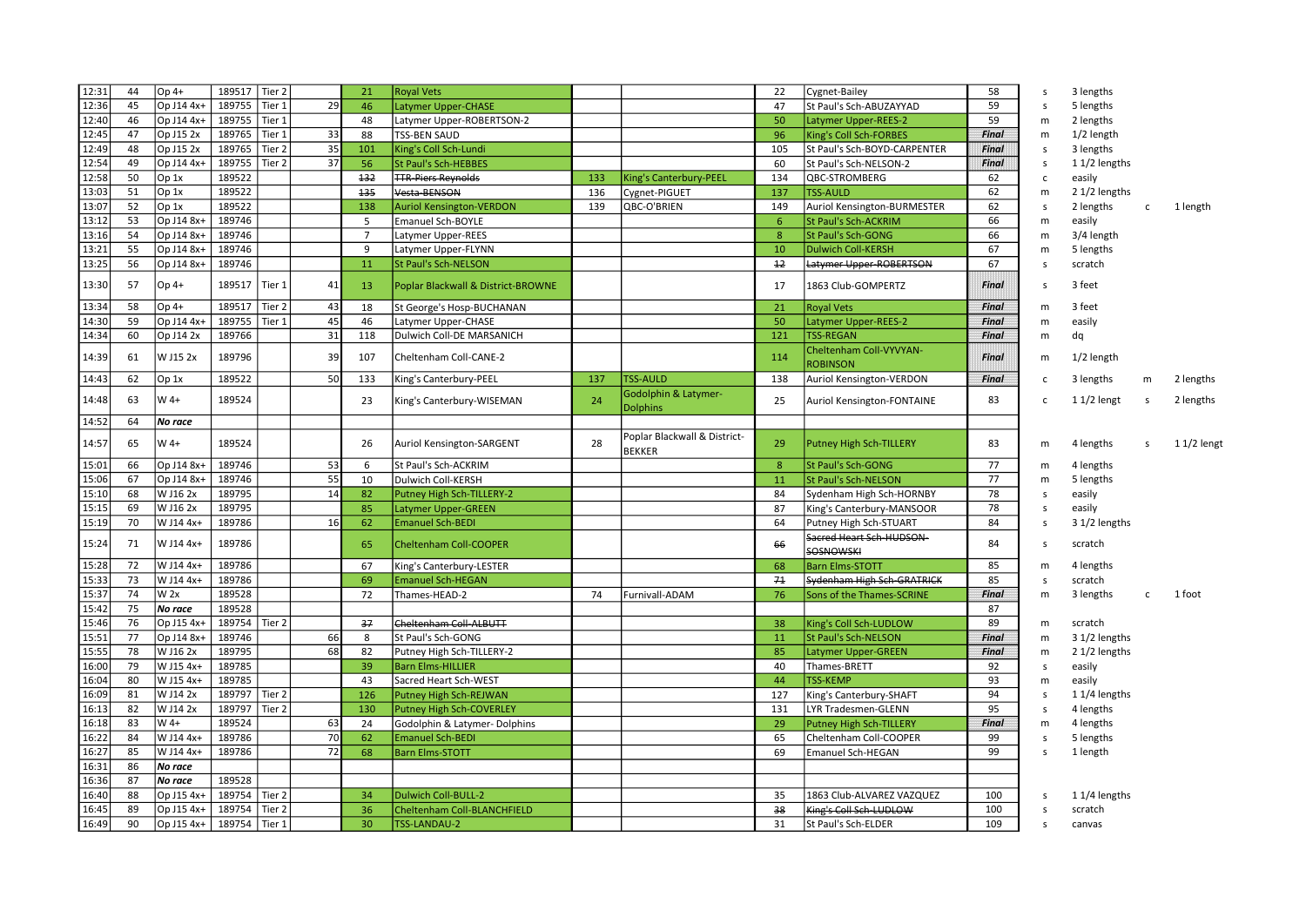| 12:31 | 44 | $Op4+$     | 189517<br>Tier 2   |    | 21             | <b>Royal Vets</b>                  |     |                                               | 22  | Cygnet-Bailey                                | 58           | s            | 3 lengths     |              |              |
|-------|----|------------|--------------------|----|----------------|------------------------------------|-----|-----------------------------------------------|-----|----------------------------------------------|--------------|--------------|---------------|--------------|--------------|
| 12:36 | 45 | Op J14 4x+ | 189755<br>Tier 1   | 29 | 46             | <b>Latymer Upper-CHASE</b>         |     |                                               | 47  | St Paul's Sch-ABUZAYYAD                      | 59           | s            | 5 lengths     |              |              |
| 12:40 | 46 | Op J14 4x+ | 189755<br>Tier 1   |    | 48             | Latymer Upper-ROBERTSON-2          |     |                                               | 50  | Latymer Upper-REES-2                         | 59           | m            | 2 lengths     |              |              |
| 12:45 | 47 | Op J15 2x  | 189765<br>Tier 1   | 33 | 88             | <b>TSS-BEN SAUD</b>                |     |                                               | 96  | King's Coll Sch-FORBES                       | <b>Final</b> | m            | 1/2 length    |              |              |
| 12:49 | 48 | Op J15 2x  | 189765<br>Tier 2   | 35 | 101            | King's Coll Sch-Lundi              |     |                                               | 105 | St Paul's Sch-BOYD-CARPENTER                 | <b>Final</b> | s            | 3 lengths     |              |              |
| 12:54 | 49 | Op J14 4x+ | 189755<br>Tier 2   | 37 | 56             | <b>St Paul's Sch-HEBBES</b>        |     |                                               | 60  | St Paul's Sch-NELSON-2                       | <b>Final</b> | s            | 11/2 lengths  |              |              |
| 12:58 | 50 | Op 1x      | 189522             |    | 132            | <b>TTR-Piers Reynolds</b>          | 133 | King's Canterbury-PEEL                        | 134 | QBC-STROMBERG                                | 62           | c            | easily        |              |              |
| 13:03 | 51 | Op 1x      | 189522             |    | 135            | Vesta-BENSON                       | 136 | Cygnet-PIGUET                                 | 137 | <b>TSS-AULD</b>                              | 62           | m            | 2 1/2 lengths |              |              |
| 13:07 | 52 | Op 1x      | 189522             |    | 138            | <b>Auriol Kensington-VERDON</b>    | 139 | QBC-O'BRIEN                                   | 149 | Auriol Kensington-BURMESTER                  | 62           | s            | 2 lengths     | $\mathsf{C}$ | 1 length     |
| 13:12 | 53 | Op J14 8x- | 189746             |    | 5              | <b>Emanuel Sch-BOYLE</b>           |     |                                               | 6   | St Paul's Sch-ACKRIM                         | 66           | m            | easily        |              |              |
| 13:16 | 54 | Op J14 8x- | 189746             |    | $\overline{7}$ | Latymer Upper-REES                 |     |                                               | 8   | St Paul's Sch-GONG                           | 66           | m            | 3/4 length    |              |              |
| 13:21 | 55 | Op J14 8x+ | 189746             |    | 9              | Latymer Upper-FLYNN                |     |                                               | 10  | <b>Dulwich Coll-KERSH</b>                    | 67           | m            | 5 lengths     |              |              |
| 13:25 | 56 | Op J14 8x+ | 189746             |    | 11             | <b>St Paul's Sch-NELSON</b>        |     |                                               | 12  | Latymer Upper-ROBERTSON                      | 67           | s            | scratch       |              |              |
| 13:30 | 57 | Op 4+      | 189517<br>  Tier 1 | 41 | 13             | Poplar Blackwall & District-BROWNE |     |                                               | 17  | 1863 Club-GOMPERTZ                           | Final        | <sub>S</sub> | 3 feet        |              |              |
| 13:34 | 58 | Op 4+      | 189517<br>Tier 2   | 43 | 18             | St George's Hosp-BUCHANAN          |     |                                               | 21  | <b>Royal Vets</b>                            | Final        | m            | 3 feet        |              |              |
| 14:30 | 59 | Op J14 4x- | 189755<br>Tier 1   | 45 | 46             | Latymer Upper-CHASE                |     |                                               | 50  | Latymer Upper-REES-2                         | Final        | m            | easily        |              |              |
| 14:34 | 60 | Op J14 2x  | 189766             | 31 | 118            | Dulwich Coll-DE MARSANICH          |     |                                               | 121 | <b>TSS-REGAN</b>                             | Final        | m            | dq            |              |              |
|       |    |            |                    |    |                |                                    |     |                                               |     | Cheltenham Coll-VYVYAN-                      |              |              |               |              |              |
| 14:39 | 61 | W J15 2x   | 189796             | 39 | 107            | Cheltenham Coll-CANE-2             |     |                                               | 114 | <b>ROBINSON</b>                              | Final        | m            | 1/2 length    |              |              |
| 14:43 | 62 | Op 1x      | 189522             | 50 | 133            | King's Canterbury-PEEL             | 137 | <b>TSS-AULD</b>                               | 138 | Auriol Kensington-VERDON                     | Final        | $\mathbf{C}$ | 3 lengths     | m            | 2 lengths    |
| 14:48 | 63 | $W$ 4+     | 189524             |    | 23             | King's Canterbury-WISEMAN          | 24  | Godolphin & Latymer-<br><b>Dolphins</b>       | 25  | Auriol Kensington-FONTAINE                   | 83           | $\mathbf{C}$ | $11/2$ lengt  | s            | 2 lengths    |
| 14:52 | 64 | No race    |                    |    |                |                                    |     |                                               |     |                                              |              |              |               |              |              |
| 14:57 | 65 | W 4+       | 189524             |    | 26             | Auriol Kensington-SARGENT          | 28  | Poplar Blackwall & District-<br><b>BEKKER</b> | 29  | <b>Putney High Sch-TILLERY</b>               | 83           | m            | 4 lengths     | s            | $11/2$ lengt |
| 15:01 | 66 | Op J14 8x- | 189746             | 53 | 6              | St Paul's Sch-ACKRIM               |     |                                               | 8   | <b>St Paul's Sch-GONG</b>                    | 77           | m            | 4 lengths     |              |              |
| 15:06 | 67 | Op J14 8x+ | 189746             | 55 | 10             | Dulwich Coll-KERSH                 |     |                                               | 11  | St Paul's Sch-NELSON                         | 77           | m            | 5 lengths     |              |              |
| 15:10 | 68 | W J16 2x   | 189795             | 14 | 82             | Putney High Sch-TILLERY-2          |     |                                               | 84  | Sydenham High Sch-HORNBY                     | 78           | s            | easily        |              |              |
| 15:15 | 69 | W J16 2x   | 189795             |    | 85             | <b>Latymer Upper-GREEN</b>         |     |                                               | 87  | King's Canterbury-MANSOOR                    | 78           | s            | easily        |              |              |
| 15:19 | 70 | W J14 4x+  | 189786             | 16 | 62             | <b>Emanuel Sch-BEDI</b>            |     |                                               | 64  | Putney High Sch-STUART                       | 84           | s            | 3 1/2 lengths |              |              |
| 15:24 | 71 | W J14 4x+  | 189786             |    | 65             | Cheltenham Coll-COOPER             |     |                                               | 66  | Sacred Heart Sch-HUDSON-<br><b>SOSNOWSKI</b> | 84           | s            | scratch       |              |              |
| 15:28 | 72 | W J14 4x+  | 189786             |    | 67             | King's Canterbury-LESTER           |     |                                               | 68  | <b>Barn Elms-STOTT</b>                       | 85           | m            | 4 lengths     |              |              |
| 15:33 | 73 | W J14 4x+  | 189786             |    | 69             | <b>Emanuel Sch-HEGAN</b>           |     |                                               | 71  | Sydenham High Sch-GRATRICK                   | 85           | s            | scratch       |              |              |
| 15:37 | 74 | W 2x       | 189528             |    | 72             | Thames-HEAD-2                      | 74  | Furnivall-ADAM                                | 76  | Sons of the Thames-SCRINE                    | <b>Final</b> | m            | 3 lengths     | $\mathsf{C}$ | 1 foot       |
| 15:42 | 75 | No race    | 189528             |    |                |                                    |     |                                               |     |                                              | 87           |              |               |              |              |
| 15:46 | 76 | Op J15 4x- | 189754 Tier 2      |    | 37             | Cheltenham Coll-ALBUTT             |     |                                               | 38  | King's Coll Sch-LUDLOW                       | 89           | m            | scratch       |              |              |
| 15:51 | 77 | Op J14 8x- | 189746             | 66 | 8              | St Paul's Sch-GONG                 |     |                                               | 11  | St Paul's Sch-NELSON                         | Final        | m            | 3 1/2 lengths |              |              |
| 15:55 | 78 | W J16 2x   | 189795             | 68 | 82             | Putney High Sch-TILLERY-2          |     |                                               | 85  | Latymer Upper-GREEN                          | <b>Final</b> | m            | 2 1/2 lengths |              |              |
| 16:00 | 79 | W J15 4x+  | 189785             |    | 39             | <b>Barn Elms-HILLIER</b>           |     |                                               | 40  | Thames-BRETT                                 | 92           | s            | easily        |              |              |
| 16:04 | 80 | W J15 4x+  | 189785             |    | 43             | Sacred Heart Sch-WEST              |     |                                               | 44  | <b>TSS-KEMP</b>                              | 93           | m            | easily        |              |              |
| 16:09 | 81 | W J14 2x   | 189797<br>Tier 2   |    | 126            | Putney High Sch-REJWAN             |     |                                               | 127 | King's Canterbury-SHAFT                      | 94           | s            | 11/4 lengths  |              |              |
| 16:13 | 82 | W J14 2x   | 189797<br>Tier 2   |    | 130            | <b>Putney High Sch-COVERLEY</b>    |     |                                               | 131 | LYR Tradesmen-GLENN                          | 95           | s            | 4 lengths     |              |              |
| 16:18 | 83 | W 4+       | 189524             | 63 | 24             | Godolphin & Latymer-Dolphins       |     |                                               | 29  | <b>Putney High Sch-TILLERY</b>               | <b>Final</b> | m            | 4 lengths     |              |              |
| 16:22 | 84 | W J14 4x+  | 189786             | 70 | 62             | <b>Emanuel Sch-BEDI</b>            |     |                                               | 65  | Cheltenham Coll-COOPER                       | 99           | s            | 5 lengths     |              |              |
| 16:27 | 85 | W J14 4x+  | 189786             | 72 | 68             | <b>Barn Elms-STOTT</b>             |     |                                               | 69  | <b>Emanuel Sch-HEGAN</b>                     | 99           | s            | 1 length      |              |              |
| 16:31 | 86 | No race    |                    |    |                |                                    |     |                                               |     |                                              |              |              |               |              |              |
| 16:36 | 87 | No race    | 189528             |    |                |                                    |     |                                               |     |                                              |              |              |               |              |              |
| 16:40 | 88 | Op J15 4x+ | 189754<br>Tier 2   |    | 34             | <b>Dulwich Coll-BULL-2</b>         |     |                                               | 35  | 1863 Club-ALVAREZ VAZQUEZ                    | 100          | s            | 11/4 lengths  |              |              |
| 16:45 | 89 | Op J15 4x+ | 189754<br>Tier 2   |    | 36             | Cheltenham Coll-BLANCHFIELD        |     |                                               | 38  | King's Coll Sch LUDLOW                       | 100          | s            | scratch       |              |              |
| 16:49 | 90 | Op J15 4x+ | 189754<br>Tier 1   |    | 30             | <b>TSS-LANDAU-2</b>                |     |                                               | 31  | St Paul's Sch-ELDER                          | 109          | s            | canvas        |              |              |